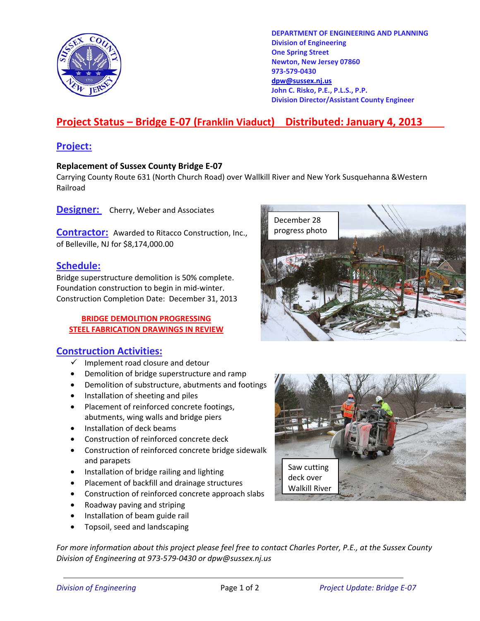

**DEPARTMENT OF ENGINEERING AND PLANNING Division of Engineering One Spring Street Newton, New Jersey 07860 973-579-0430 dpw@sussex.nj.us John C. Risko, P.E., P.L.S., P.P. Division Director/Assistant County Engineer** 

# **Project Status – Bridge E-07 (Franklin Viaduct) Distributed: January 4, 2013**

## **Project:**

#### **Replacement of Sussex County Bridge E-07**

Carrying County Route 631 (North Church Road) over Wallkill River and New York Susquehanna &Western Railroad

**Designer:** Cherry, Weber and Associates

**Contractor:** Awarded to Ritacco Construction, Inc., progress photo of Belleville, NJ for \$8,174,000.00

### **Schedule:**

Bridge superstructure demolition is 50% complete. Foundation construction to begin in mid-winter. Construction Completion Date: December 31, 2013

#### **BRIDGE DEMOLITION PROGRESSING STEEL FABRICATION DRAWINGS IN REVIEW**

### **Construction Activities:**

- $\checkmark$  Implement road closure and detour
- Demolition of bridge superstructure and ramp
- Demolition of substructure, abutments and footings
- Installation of sheeting and piles
- Placement of reinforced concrete footings, abutments, wing walls and bridge piers
- Installation of deck beams
- Construction of reinforced concrete deck
- Construction of reinforced concrete bridge sidewalk and parapets
- Installation of bridge railing and lighting
- Placement of backfill and drainage structures
- Construction of reinforced concrete approach slabs
- Roadway paving and striping
- Installation of beam guide rail
- Topsoil, seed and landscaping

*For more information about this project please feel free to contact Charles Porter, P.E., at the Sussex County Division of Engineering at 973-579-0430 or dpw@sussex.nj.us*